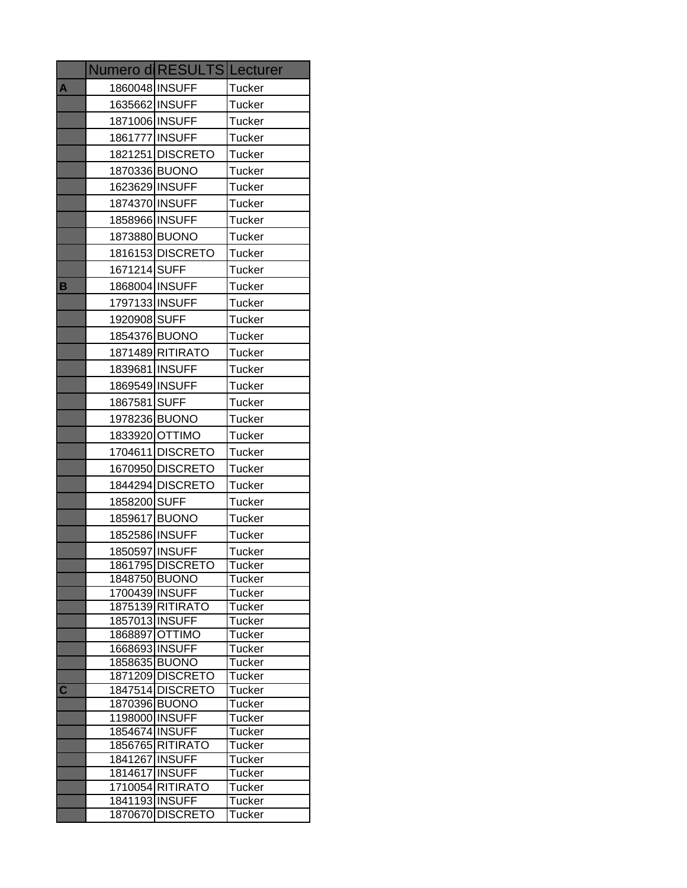|   |                                 | Numero di RESULTS Lecturer           |                                |  |
|---|---------------------------------|--------------------------------------|--------------------------------|--|
| A | 1860048 INSUFF                  |                                      | <b>Tucker</b>                  |  |
|   | 1635662 INSUFF                  |                                      | Tucker                         |  |
|   | 1871006 INSUFF                  |                                      | Tucker                         |  |
|   | 1861777 INSUFF                  |                                      | Tucker                         |  |
|   |                                 | 1821251 DISCRETO                     | <b>Tucker</b>                  |  |
|   | 1870336 BUONO                   |                                      | <b>Tucker</b>                  |  |
|   | 1623629 INSUFF                  |                                      | Tucker                         |  |
|   | 1874370 INSUFF                  |                                      | <b>Tucker</b>                  |  |
|   | 1858966 INSUFF                  |                                      | <b>Tucker</b>                  |  |
|   | 1873880 BUONO                   |                                      | <b>Tucker</b>                  |  |
|   |                                 | 1816153 DISCRETO                     | Tucker                         |  |
|   | 1671214 SUFF                    |                                      | <b>Tucker</b>                  |  |
| B | 1868004 INSUFF                  |                                      | Tucker                         |  |
|   | 1797133 INSUFF                  |                                      | <b>Tucker</b>                  |  |
|   | 1920908 SUFF                    |                                      | Tucker                         |  |
|   | 1854376 BUONO                   |                                      | <b>Tucker</b>                  |  |
|   |                                 | 1871489 RITIRATO                     | <b>Tucker</b>                  |  |
|   | 1839681 INSUFF                  |                                      | <b>Tucker</b>                  |  |
|   | 1869549 INSUFF                  |                                      |                                |  |
|   |                                 |                                      | <b>Tucker</b>                  |  |
|   | 1867581 SUFF                    |                                      | Tucker                         |  |
|   | 1978236 BUONO                   |                                      | <b>Tucker</b>                  |  |
|   |                                 | 1833920 OTTIMO                       | Tucker                         |  |
|   |                                 | 1704611 DISCRETO                     | <b>Tucker</b>                  |  |
|   |                                 | 1670950 DISCRETO                     | Tucker                         |  |
|   |                                 | 1844294 DISCRETO                     | <b>Tucker</b>                  |  |
|   | 1858200 SUFF                    |                                      | Tucker                         |  |
|   | 1859617 BUONO                   |                                      | <b>Tucker</b>                  |  |
|   | 1852586 INSUFF                  |                                      | <b>Tucker</b>                  |  |
|   | 1850597 INSUFF                  |                                      | <b>Tucker</b>                  |  |
|   |                                 | 1861795 DISCRETO                     | Tucker                         |  |
|   | 1848750 BUONO<br>1700439 INSUFF |                                      | <b>Tucker</b><br><b>Tucker</b> |  |
|   |                                 | 1875139 RITIRATO                     | Tucker                         |  |
|   | 1857013 INSUFF                  |                                      | Tucker                         |  |
|   |                                 | 1868897 OTTIMO                       | <b>Tucker</b>                  |  |
|   | 1668693 INSUFF                  |                                      | <b>Tucker</b>                  |  |
|   | 1858635 BUONO                   |                                      | Tucker                         |  |
| C |                                 | 1871209 DISCRETO<br>1847514 DISCRETO | <b>Tucker</b><br><b>Tucker</b> |  |
|   | 1870396 BUONO                   |                                      | <b>Tucker</b>                  |  |
|   | 1198000 INSUFF                  |                                      | <b>Tucker</b>                  |  |
|   | 1854674 INSUFF                  |                                      | Tucker                         |  |
|   |                                 | 1856765 RITIRATO                     | <b>Tucker</b>                  |  |
|   | 1841267 INSUFF                  |                                      | <b>Tucker</b>                  |  |
|   | 1814617 INSUFF                  | 1710054 RITIRATO                     | <b>Tucker</b><br><b>Tucker</b> |  |
|   | 1841193 INSUFF                  |                                      | <b>Tucker</b>                  |  |
|   |                                 | 1870670 DISCRETO                     | <b>Tucker</b>                  |  |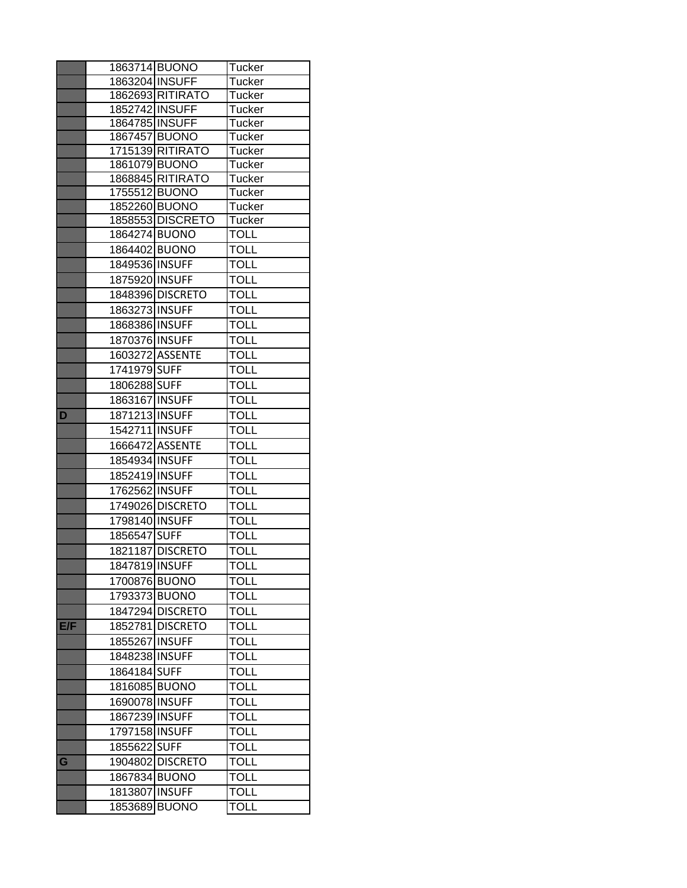|     | 1863714 BUONO                   |                  | Tucker        |
|-----|---------------------------------|------------------|---------------|
|     | 1863204 INSUFF                  |                  | <b>Tucker</b> |
|     |                                 | 1862693 RITIRATO | <b>Tucker</b> |
|     | 1852742 INSUFF                  |                  | Tucker        |
|     | 1864785 INSUFF                  |                  | Tucker        |
|     | 1867457 BUONO                   |                  | Tucker        |
|     |                                 | 1715139 RITIRATO | <b>Tucker</b> |
|     | 1861079 BUONO                   |                  | <b>Tucker</b> |
|     |                                 | 1868845 RITIRATO | <b>Tucker</b> |
|     | 1755512 BUONO                   |                  | <b>Tucker</b> |
|     | 1852260 BUONO                   |                  | <b>Tucker</b> |
|     |                                 | 1858553 DISCRETO | Tucker        |
|     | 1864274 BUONO                   |                  | <b>TOLL</b>   |
|     | 1864402 BUONO                   |                  | <b>TOLL</b>   |
|     | 1849536 INSUFF                  |                  | <b>TOLL</b>   |
|     | 1875920 INSUFF                  |                  | <b>TOLL</b>   |
|     |                                 | 1848396 DISCRETO | <b>TOLL</b>   |
|     | 1863273 INSUFF                  |                  | <b>TOLL</b>   |
|     | 1868386 INSUFF                  |                  | <b>TOLL</b>   |
|     | 1870376 INSUFF                  |                  | <b>TOLL</b>   |
|     |                                 | 1603272 ASSENTE  | <b>TOLL</b>   |
|     | 1741979 SUFF                    |                  | <b>TOLL</b>   |
|     | 1806288 SUFF                    |                  | <b>TOLL</b>   |
|     | 1863167 INSUFF                  |                  | <b>TOLL</b>   |
| D   | 1871213 INSUFF                  |                  | <b>TOLL</b>   |
|     | 1542711 INSUFF                  |                  | <b>TOLL</b>   |
|     |                                 | 1666472 ASSENTE  | <b>TOLL</b>   |
|     | 1854934 INSUFF                  |                  | <b>TOLL</b>   |
|     | 1852419 INSUFF                  |                  | <b>TOLL</b>   |
|     | 1762562 INSUFF                  |                  | TOLL          |
|     |                                 | 1749026 DISCRETO | <b>TOLL</b>   |
|     | 1798140 INSUFF                  |                  | <b>TOLL</b>   |
|     | 1856547 SUFF                    |                  | <b>TOLL</b>   |
|     |                                 | 1821187 DISCRETO | <b>TOLL</b>   |
|     | 1847819 INSUFF                  |                  | <b>TOLL</b>   |
|     | 1700876 BUONO                   |                  | TOLL          |
|     | 1793373 BUONO                   |                  | <b>TOLL</b>   |
|     |                                 | 1847294 DISCRETO | <b>TOLL</b>   |
| E/F |                                 | 1852781 DISCRETO | <b>TOLL</b>   |
|     | 1855267 INSUFF                  |                  | <b>TOLL</b>   |
|     | 1848238 INSUFF                  |                  | <b>TOLL</b>   |
|     | 1864184 SUFF                    |                  | <b>TOLL</b>   |
|     |                                 |                  |               |
|     | 1816085 BUONO<br>1690078 INSUFF |                  | <b>TOLL</b>   |
|     |                                 |                  | <b>TOLL</b>   |
|     | 1867239 INSUFF                  |                  | <b>TOLL</b>   |
|     | 1797158 INSUFF                  |                  | <b>TOLL</b>   |
|     | 1855622                         | <b>SUFF</b>      | <b>TOLL</b>   |
| G   |                                 | 1904802 DISCRETO | <b>TOLL</b>   |
|     | 1867834 BUONO                   |                  | <b>TOLL</b>   |
|     | 1813807 INSUFF                  |                  | <b>TOLL</b>   |
|     | 1853689 BUONO                   |                  | <b>TOLL</b>   |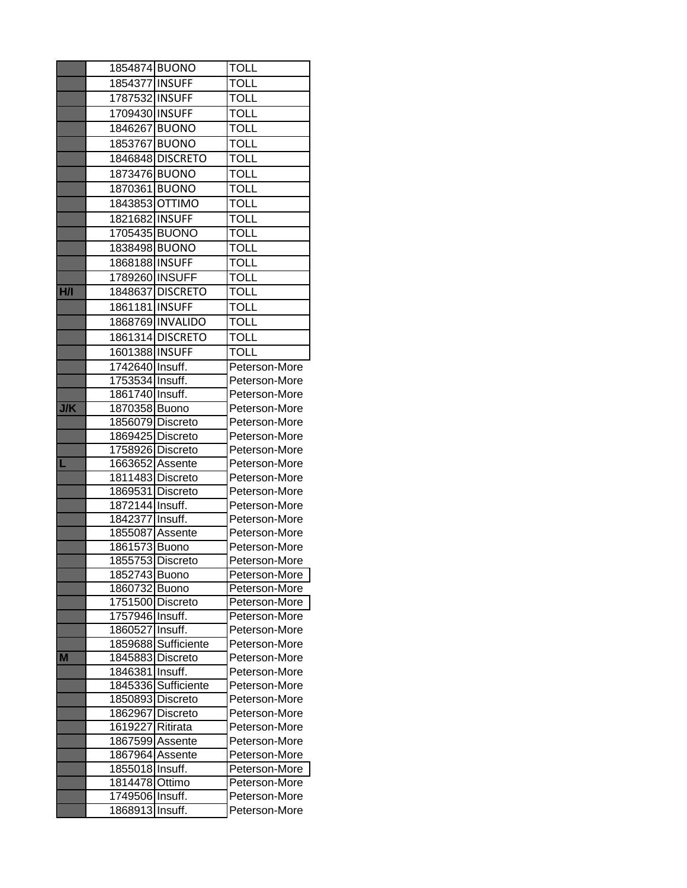|     | 1854874 BUONO                        |                     | <b>TOLL</b>                    |
|-----|--------------------------------------|---------------------|--------------------------------|
|     | 1854377 INSUFF                       |                     | TOLL                           |
|     | 1787532 INSUFF                       |                     | <b>TOLL</b>                    |
|     |                                      |                     |                                |
|     | 1709430 INSUFF                       |                     | <b>TOLL</b>                    |
|     | 1846267                              | <b>BUONO</b>        | <b>TOLL</b>                    |
|     | 1853767 BUONO                        |                     | TOLL                           |
|     |                                      | 1846848 DISCRETO    | <b>TOLL</b>                    |
|     | 1873476 BUONO                        |                     | <b>TOLL</b>                    |
|     | 1870361 BUONO                        |                     | <b>TOLL</b>                    |
|     | 1843853 OTTIMO                       |                     | <b>TOLL</b>                    |
|     | 1821682 INSUFF                       |                     | <b>TOLL</b>                    |
|     | 1705435 BUONO                        |                     | <b>TOLL</b>                    |
|     | 1838498 BUONO                        |                     | TOLL                           |
|     | 1868188 INSUFF                       |                     | <b>TOLL</b>                    |
|     | 1789260 INSUFF                       |                     | <b>TOLL</b>                    |
| H/I |                                      | 1848637 DISCRETO    | <b>TOLL</b>                    |
|     | 1861181 INSUFF                       |                     | <b>TOLL</b>                    |
|     |                                      | 1868769 INVALIDO    | <b>TOLL</b>                    |
|     |                                      |                     |                                |
|     |                                      | 1861314 DISCRETO    | TOLL                           |
|     | 1601388 INSUFF                       |                     | <b>TOLL</b>                    |
|     | 1742640 Insuff.                      |                     | Peterson-More                  |
|     | 1753534 Insuff.                      |                     | Peterson-More                  |
|     | 1861740 Insuff.                      |                     | Peterson-More                  |
| J/K | 1870358 Buono                        |                     | Peterson-More                  |
|     | 1856079 Discreto                     |                     | Peterson-More                  |
|     | 1869425 Discreto                     |                     | Peterson-More                  |
| L   | 1758926 Discreto                     |                     | Peterson-More                  |
|     | 1663652 Assente                      |                     | Peterson-More                  |
|     | 1811483 Discreto<br>1869531 Discreto |                     | Peterson-More                  |
|     | 1872144 Insuff.                      |                     | Peterson-More                  |
|     | 1842377 Insuff.                      |                     | Peterson-More                  |
|     | 1855087 Assente                      |                     | Peterson-More<br>Peterson-More |
|     | 1861573 Buono                        |                     | Peterson-More                  |
|     | 1855753 Discreto                     |                     | Peterson-More                  |
|     | 1852743 Buono                        |                     | Peterson-More                  |
|     | 1860732 Buono                        |                     | Peterson-More                  |
|     | 1751500 Discreto                     |                     | Peterson-More                  |
|     | 1757946 Insuff.                      |                     | Peterson-More                  |
|     | 1860527 Insuff.                      |                     | Peterson-More                  |
|     |                                      | 1859688 Sufficiente | Peterson-More                  |
| M   | 1845883 Discreto                     |                     | Peterson-More                  |
|     | 1846381 Insuff.                      |                     | Peterson-More                  |
|     |                                      | 1845336 Sufficiente | Peterson-More                  |
|     | 1850893 Discreto                     |                     | Peterson-More                  |
|     | 1862967 Discreto                     |                     | Peterson-More                  |
|     | 1619227 Ritirata                     |                     | Peterson-More                  |
|     | 1867599 Assente                      |                     | Peterson-More                  |
|     | 1867964 Assente                      |                     | Peterson-More                  |
|     | 1855018 Insuff.                      |                     | Peterson-More                  |
|     | 1814478 Ottimo                       |                     | Peterson-More                  |
|     | 1749506 Insuff.                      |                     | Peterson-More                  |
|     | 1868913 Insuff.                      |                     | Peterson-More                  |
|     |                                      |                     |                                |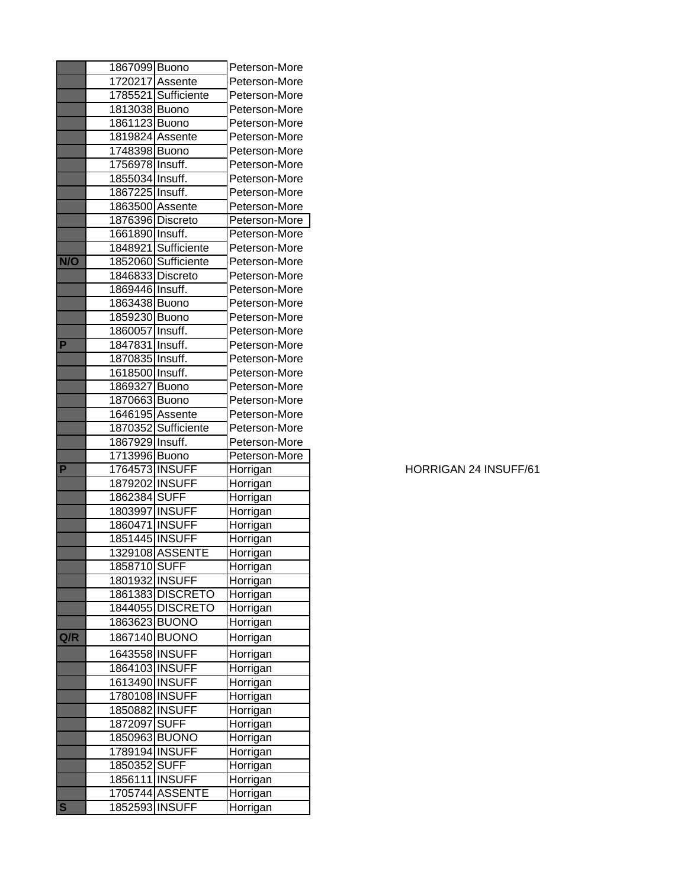|          | 1867099 Buono     |                     | Peterson-More |
|----------|-------------------|---------------------|---------------|
|          | 1720217 Assente   |                     | Peterson-More |
|          |                   | 1785521 Sufficiente | Peterson-More |
|          | 1813038 Buono     |                     | Peterson-More |
|          | 1861123 Buono     |                     | Peterson-More |
|          | 1819824 Assente   |                     | Peterson-More |
|          | 1748398 Buono     |                     | Peterson-More |
|          | 1756978 Insuff.   |                     | Peterson-More |
|          | 1855034 Insuff.   |                     | Peterson-More |
|          | 1867225 Insuff.   |                     | Peterson-More |
|          | 1863500 Assente   |                     | Peterson-More |
|          | 1876396 Discreto  |                     | Peterson-More |
|          | 1661890 Insuff.   |                     | Peterson-More |
|          | 1848921           | Sufficiente         | Peterson-More |
| N/O      |                   | 1852060 Sufficiente | Peterson-More |
|          | 1846833 Discreto  |                     | Peterson-More |
|          | 1869446 Insuff.   |                     | Peterson-More |
|          | 1863438 Buono     |                     | Peterson-More |
|          | 1859230 Buono     |                     | Peterson-More |
|          | 1860057           | Insuff.             | Peterson-More |
| P        | 1847831   Insuff. |                     | Peterson-More |
|          | 1870835 Insuff.   |                     | Peterson-More |
|          | 1618500 Insuff.   |                     | Peterson-More |
|          | 1869327 Buono     |                     | Peterson-More |
|          | 1870663 Buono     |                     | Peterson-More |
|          | 1646195 Assente   |                     | Peterson-More |
|          |                   | 1870352 Sufficiente | Peterson-More |
|          | 1867929           | Insuff.             | Peterson-More |
|          | 1713996           | Buono               | Peterson-More |
| P        | 1764573 INSUFF    |                     | Horrigan      |
|          | 1879202 INSUFF    |                     | Horrigan      |
|          | 1862384 SUFF      |                     | Horrigan      |
|          | 1803997           | <b>INSUFF</b>       | Horrigan      |
|          | 1860471           | <b>INSUFF</b>       | Horrigan      |
|          | 1851445 INSUFF    |                     | Horrigan      |
|          |                   | 1329108 ASSENTE     | Horrigan      |
|          | 1858710 SUFF      |                     | Horrigan      |
|          | 1801932 INSUFF    |                     | Horrigan      |
|          |                   | 1861383 DISCRETO    | Horrigan      |
|          |                   | 1844055 DISCRETO    | Horrigan      |
|          | 1863623 BUONO     |                     | Horrigan      |
| Q/R      | 1867140 BUONO     |                     | Horrigan      |
|          | 1643558 INSUFF    |                     | Horrigan      |
|          | 1864103 INSUFF    |                     | Horrigan      |
|          | 1613490 INSUFF    |                     | Horrigan      |
|          | 1780108 INSUFF    |                     | Horrigan      |
|          | 1850882 INSUFF    |                     | Horrigan      |
|          | 1872097 SUFF      |                     | Horrigan      |
|          | 1850963 BUONO     |                     | Horrigan      |
|          | 1789194 INSUFF    |                     | Horrigan      |
|          | 1850352 SUFF      |                     | Horrigan      |
|          | 1856111 INSUFF    |                     | Horrigan      |
|          |                   | 1705744 ASSENTE     | Horrigan      |
| <b>S</b> | 1852593 INSUFF    |                     | Horrigan      |
|          |                   |                     |               |

**HORRIGAN 24 INSUFF/61**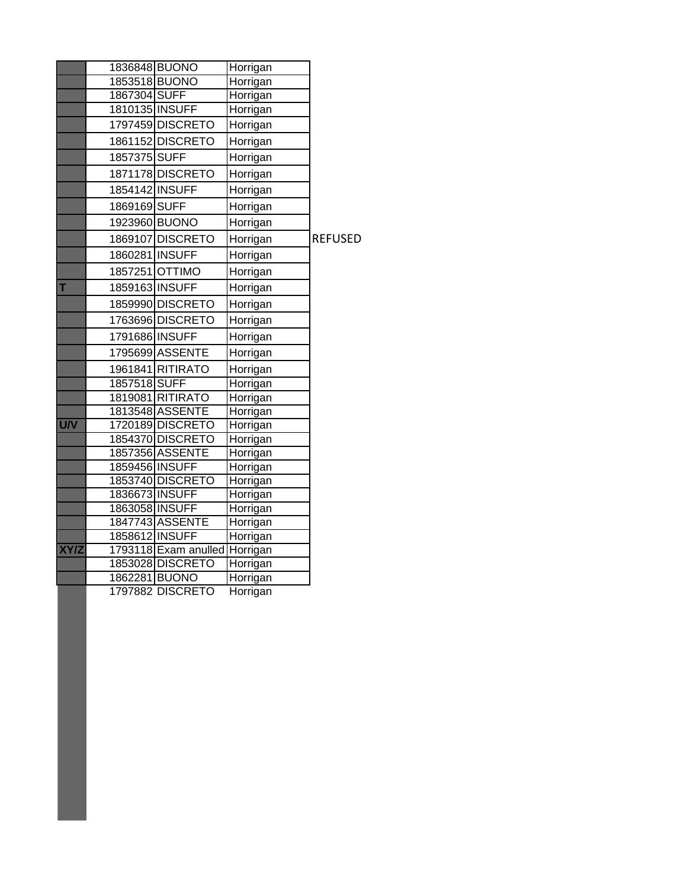|             | 1836848 BUONO  |                               | Horrigan |                |
|-------------|----------------|-------------------------------|----------|----------------|
|             | 1853518 BUONO  |                               | Horrigan |                |
|             | 1867304 SUFF   |                               | Horrigan |                |
|             | 1810135 INSUFF |                               | Horrigan |                |
|             |                | 1797459 DISCRETO              | Horrigan |                |
|             |                | 1861152 DISCRETO              | Horrigan |                |
|             | 1857375 SUFF   |                               | Horrigan |                |
|             |                | 1871178 DISCRETO              | Horrigan |                |
|             | 1854142 INSUFF |                               | Horrigan |                |
|             | 1869169 SUFF   |                               | Horrigan |                |
|             | 1923960 BUONO  |                               | Horrigan |                |
|             |                | 1869107 DISCRETO              | Horrigan | <b>REFUSED</b> |
|             | 1860281 INSUFF |                               | Horrigan |                |
|             |                | 1857251 OTTIMO                | Horrigan |                |
| T           | 1859163 INSUFF |                               | Horrigan |                |
|             |                | 1859990 DISCRETO              | Horrigan |                |
|             |                | 1763696 DISCRETO              | Horrigan |                |
|             | 1791686 INSUFF |                               | Horrigan |                |
|             |                | 1795699 ASSENTE               | Horrigan |                |
|             |                | 1961841 RITIRATO              | Horrigan |                |
|             | 1857518 SUFF   |                               | Horrigan |                |
|             |                | 1819081 RITIRATO              | Horrigan |                |
|             |                | 1813548 ASSENTE               | Horrigan |                |
| <b>U/V</b>  |                | 1720189 DISCRETO              | Horrigan |                |
|             |                | 1854370 DISCRETO              | Horrigan |                |
|             |                | 1857356 ASSENTE               | Horrigan |                |
|             | 1859456 INSUFF |                               | Horrigan |                |
|             |                | 1853740 DISCRETO              | Horrigan |                |
|             | 1836673 INSUFF |                               | Horrigan |                |
|             | 1863058 INSUFF |                               | Horrigan |                |
|             |                | 1847743 ASSENTE               | Horrigan |                |
|             | 1858612 INSUFF |                               | Horrigan |                |
| <b>XY/Z</b> |                | 1793118 Exam anulled Horrigan |          |                |
|             |                | 1853028 DISCRETO              | Horrigan |                |
|             | 1862281 BUONO  |                               | Horrigan |                |
|             |                | <b>1797882 DISCRETO</b>       | Horrigan |                |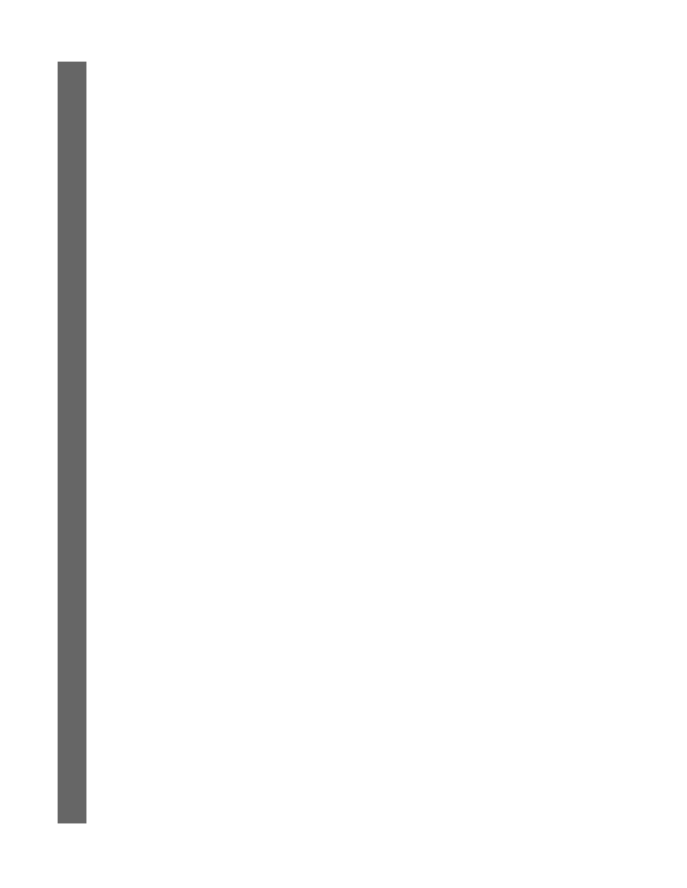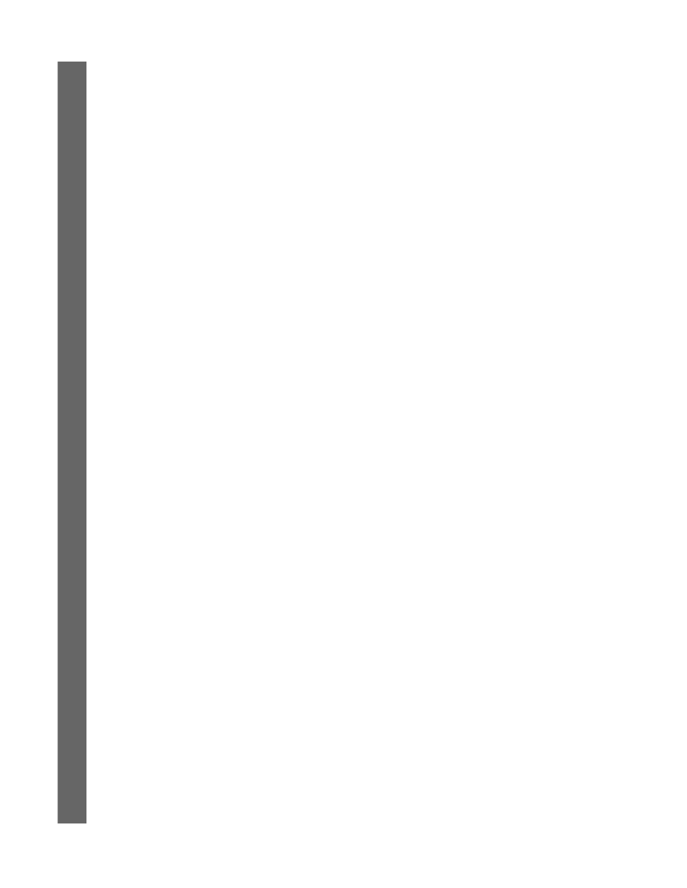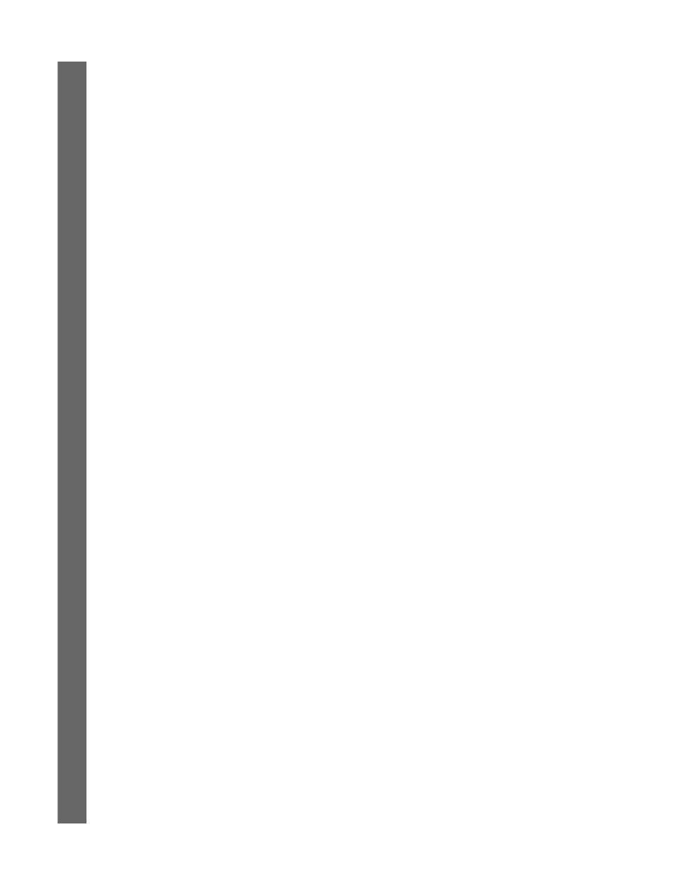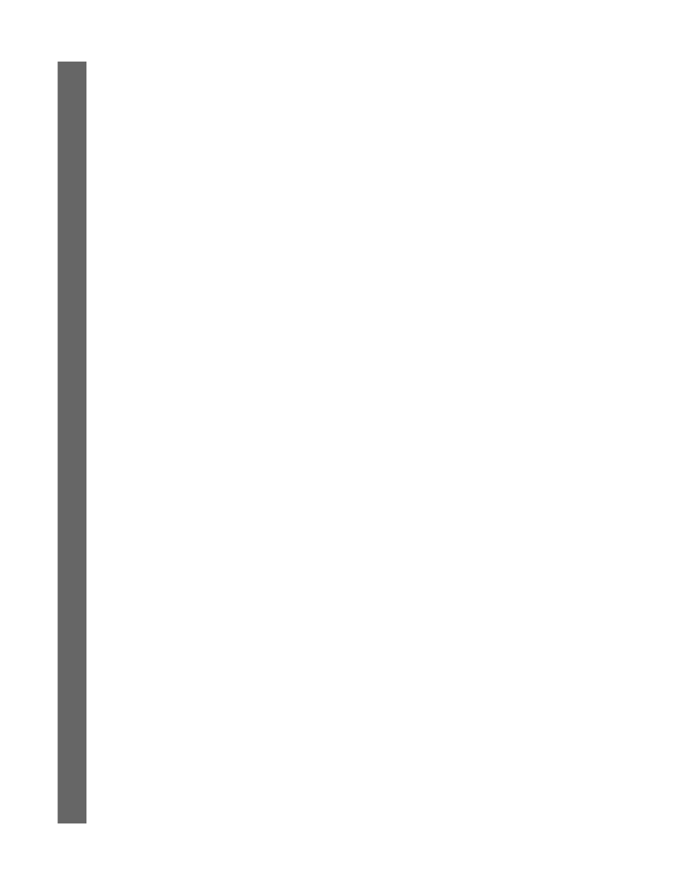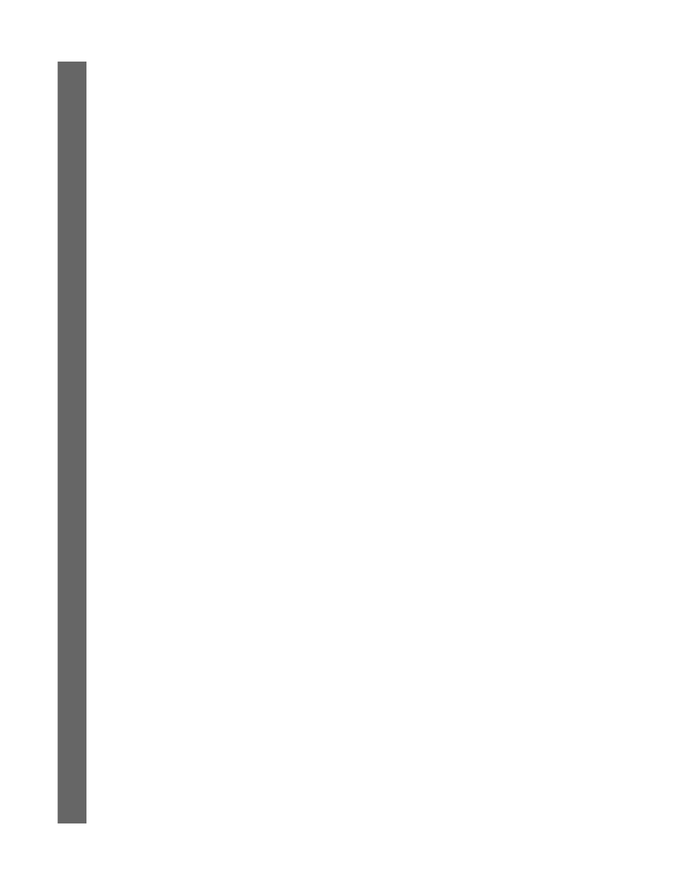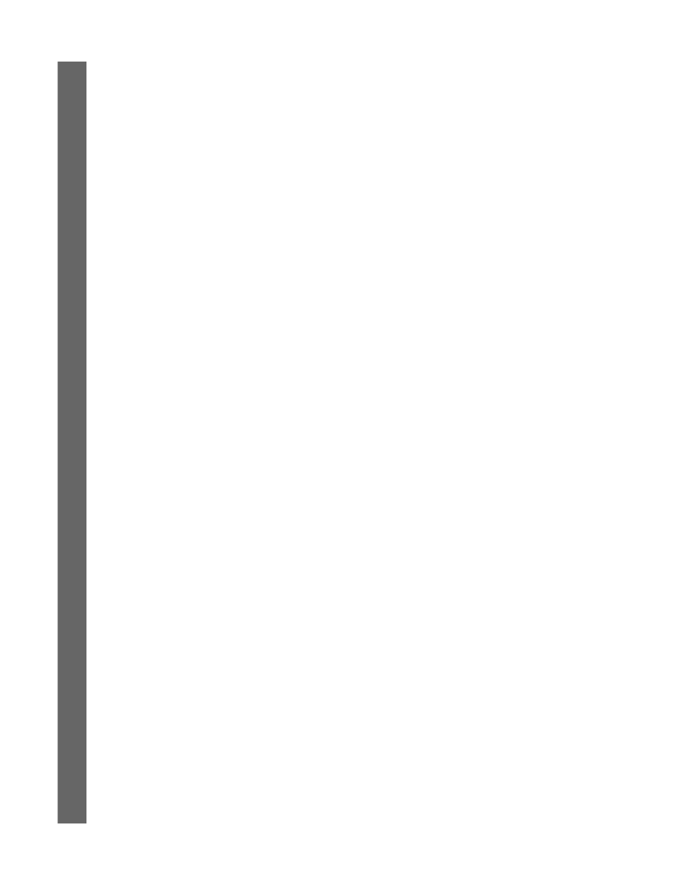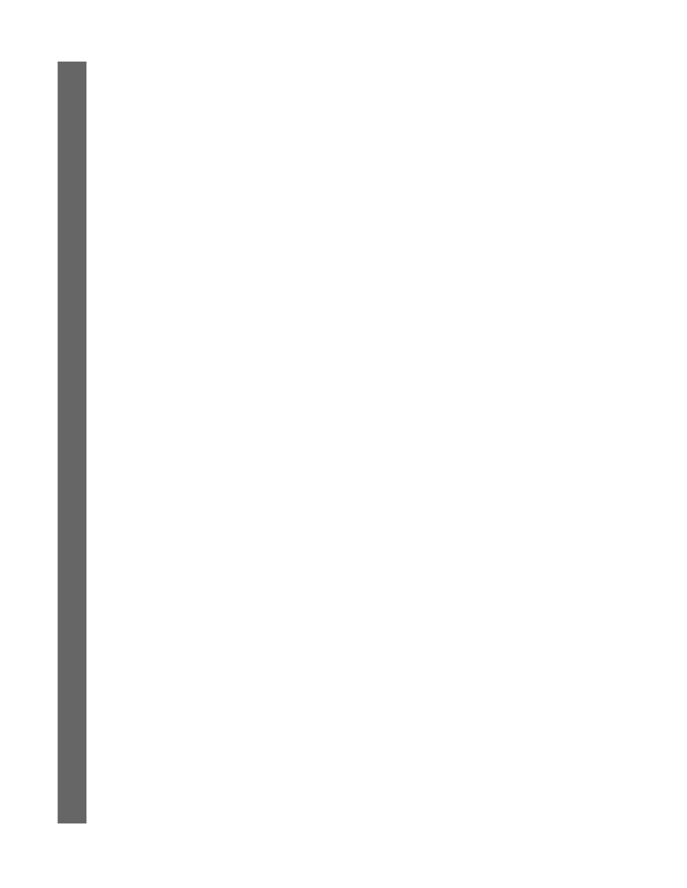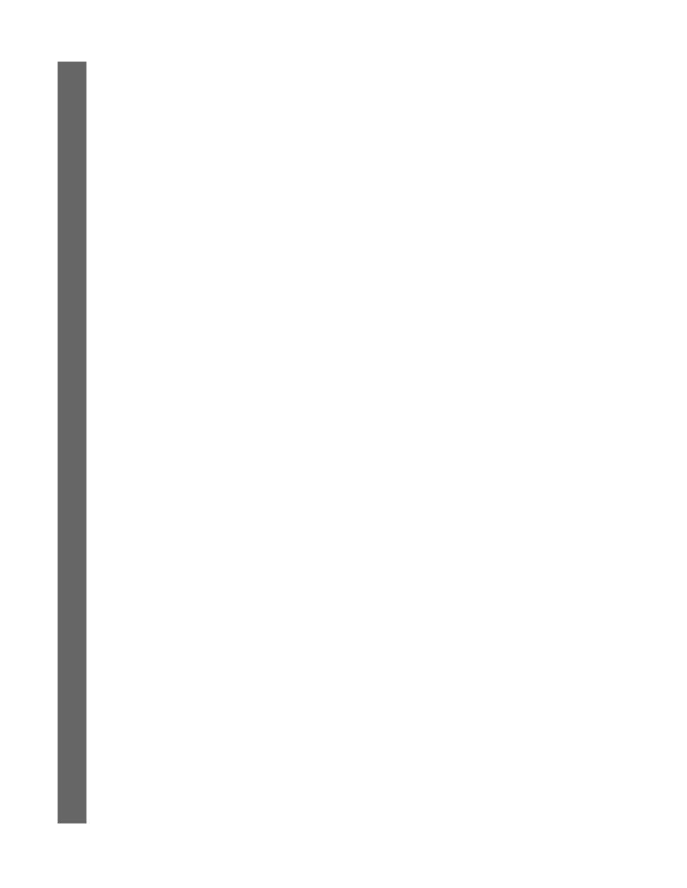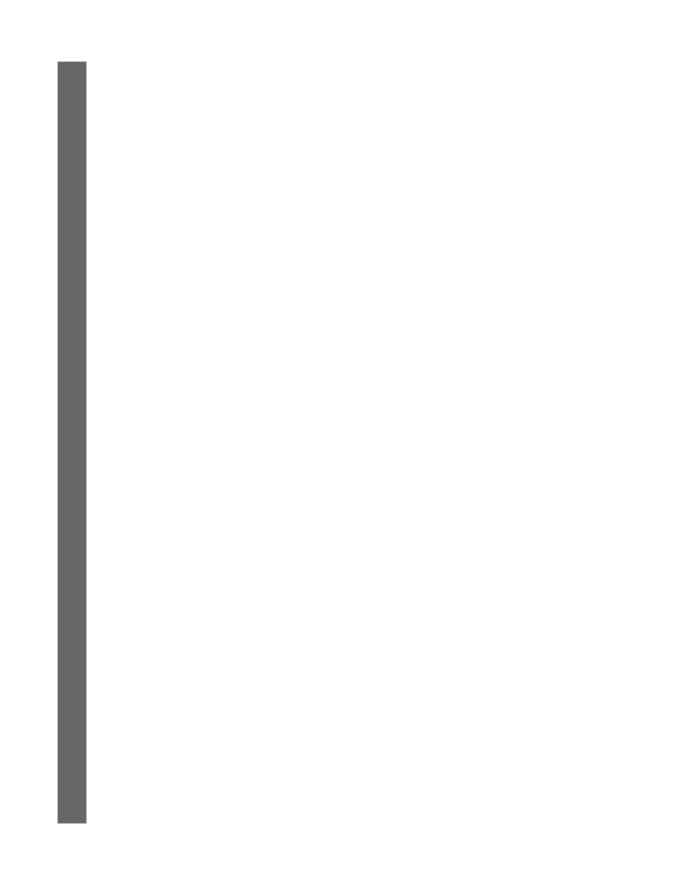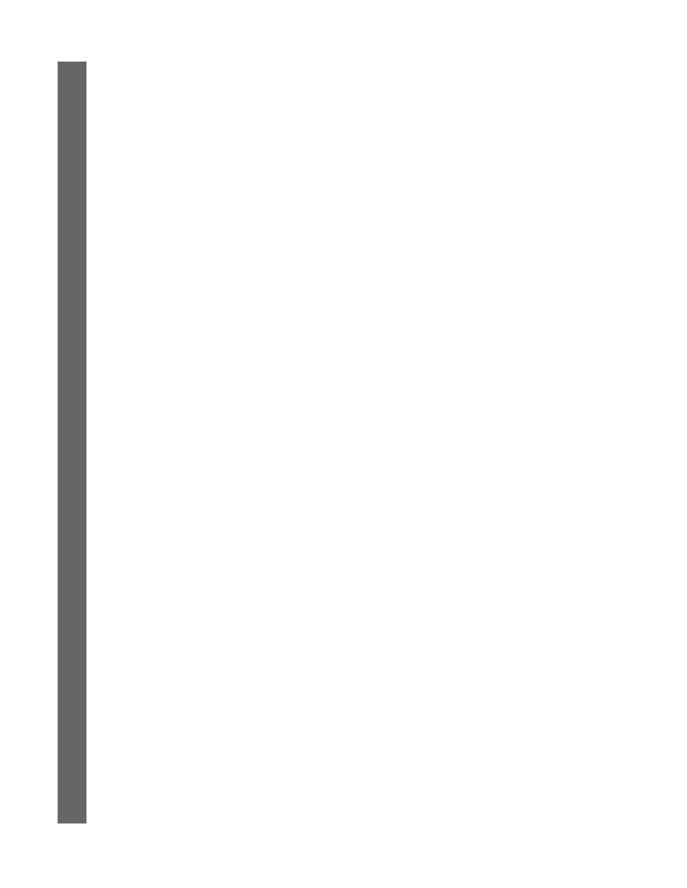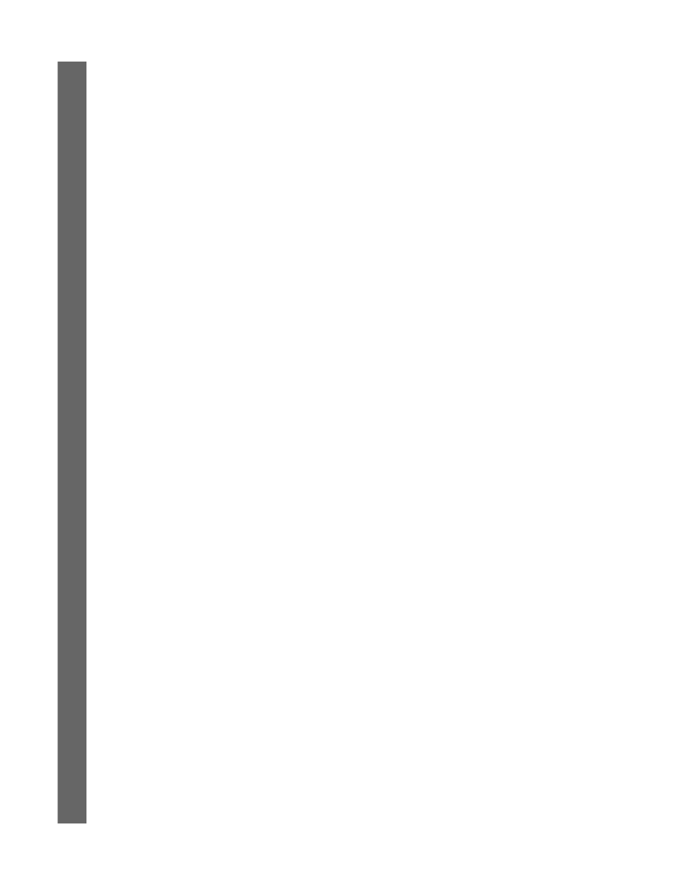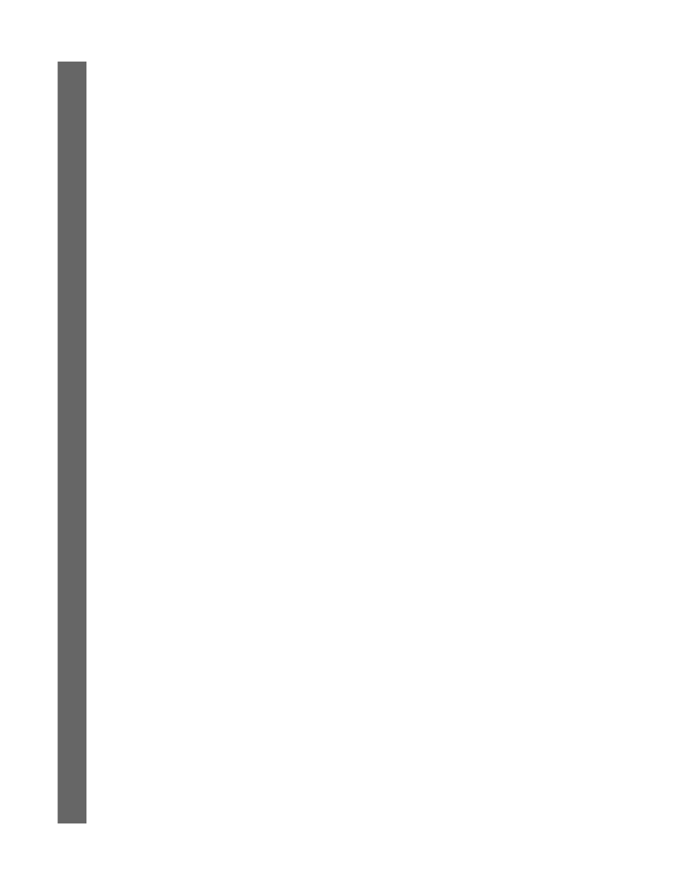